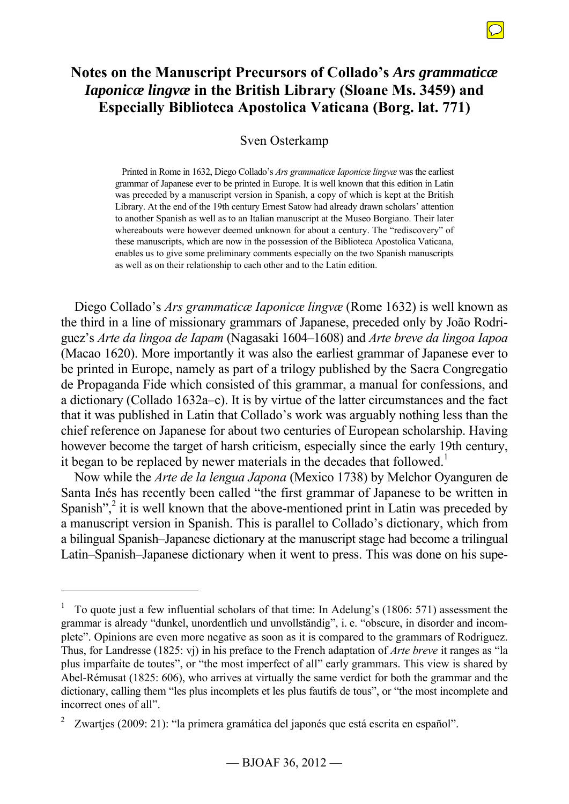# **Notes on the Manuscript Precursors of Collado's** *Ars grammaticæ Iaponicæ lingvæ* **in the British Library (Sloane Ms. 3459) and Especially Biblioteca Apostolica Vaticana (Borg. lat. 771)**

### Sven Osterkamp

Printed in Rome in 1632, Diego Collado's *Ars grammaticæ Iaponicæ lingvæ* was the earliest grammar of Japanese ever to be printed in Europe. It is well known that this edition in Latin was preceded by a manuscript version in Spanish, a copy of which is kept at the British Library. At the end of the 19th century Ernest Satow had already drawn scholars' attention to another Spanish as well as to an Italian manuscript at the Museo Borgiano. Their later whereabouts were however deemed unknown for about a century. The "rediscovery" of these manuscripts, which are now in the possession of the Biblioteca Apostolica Vaticana, enables us to give some preliminary comments especially on the two Spanish manuscripts as well as on their relationship to each other and to the Latin edition.

Diego Collado's *Ars grammaticæ Iaponicæ lingvæ* (Rome 1632) is well known as the third in a line of missionary grammars of Japanese, preceded only by João Rodriguez's *Arte da lingoa de Iapam* (Nagasaki 1604‒1608) and *Arte breve da lingoa Iapoa* (Macao 1620). More importantly it was also the earliest grammar of Japanese ever to be printed in Europe, namely as part of a trilogy published by the Sacra Congregatio de Propaganda Fide which consisted of this grammar, a manual for confessions, and a dictionary (Collado 1632a–c). It is by virtue of the latter circumstances and the fact that it was published in Latin that Collado's work was arguably nothing less than the chief reference on Japanese for about two centuries of European scholarship. Having however become the target of harsh criticism, especially since the early 19th century, it began to be replaced by newer materials in the decades that followed.<sup>1</sup>

Now while the *Arte de la lengua Japona* (Mexico 1738) by Melchor Oyanguren de Santa Inés has recently been called "the first grammar of Japanese to be written in Spanish", $\frac{2}{3}$  it is well known that the above-mentioned print in Latin was preceded by a manuscript version in Spanish. This is parallel to Collado's dictionary, which from a bilingual Spanish–Japanese dictionary at the manuscript stage had become a trilingual Latin–Spanish–Japanese dictionary when it went to press. This was done on his supe-

<sup>1</sup> To quote just a few influential scholars of that time: In Adelung's (1806: 571) assessment the grammar is already "dunkel, unordentlich und unvollständig", i. e. "obscure, in disorder and incomplete". Opinions are even more negative as soon as it is compared to the grammars of Rodriguez. Thus, for Landresse (1825: vj) in his preface to the French adaptation of *Arte breve* it ranges as "la plus imparfaite de toutes", or "the most imperfect of all" early grammars. This view is shared by Abel-Rémusat (1825: 606), who arrives at virtually the same verdict for both the grammar and the dictionary, calling them "les plus incomplets et les plus fautifs de tous", or "the most incomplete and incorrect ones of all".

<sup>2</sup> Zwarties (2009: 21): "la primera gramática del japonés que está escrita en español".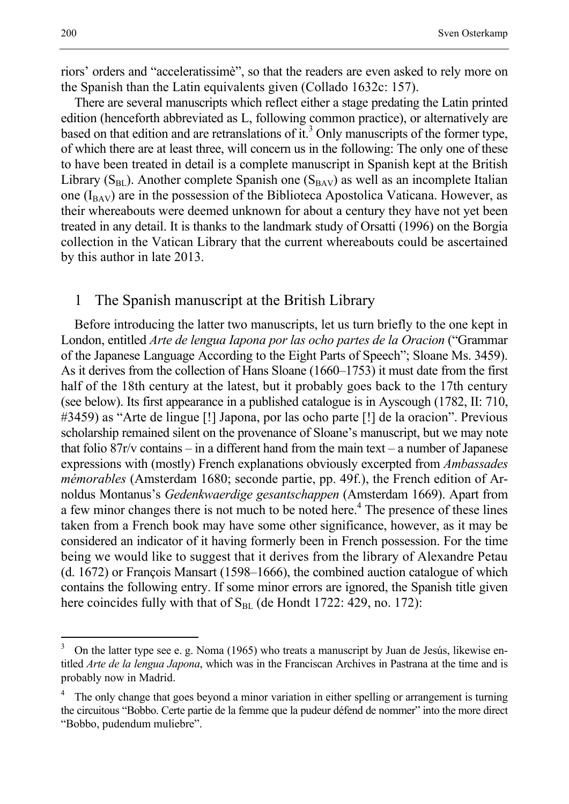riors' orders and "acceleratissimè", so that the readers are even asked to rely more on the Spanish than the Latin equivalents given (Collado 1632c: 157).

There are several manuscripts which reflect either a stage predating the Latin printed edition (henceforth abbreviated as L, following common practice), or alternatively are based on that edition and are retranslations of  $it$ <sup>3</sup>. Only manuscripts of the former type, of which there are at least three, will concern us in the following: The only one of these to have been treated in detail is a complete manuscript in Spanish kept at the British Library ( $S<sub>BL</sub>$ ). Another complete Spanish one ( $S<sub>BAV</sub>$ ) as well as an incomplete Italian one  $(I_{BAV})$  are in the possession of the Biblioteca Apostolica Vaticana. However, as their whereabouts were deemed unknown for about a century they have not yet been treated in any detail. It is thanks to the landmark study of Orsatti (1996) on the Borgia collection in the Vatican Library that the current whereabouts could be ascertained by this author in late 2013.

### 1 The Spanish manuscript at the British Library

Before introducing the latter two manuscripts, let us turn briefly to the one kept in London, entitled *Arte de lengua Iapona por las ocho partes de la Oracion* ("Grammar of the Japanese Language According to the Eight Parts of Speech"; Sloane Ms. 3459). As it derives from the collection of Hans Sloane (1660–1753) it must date from the first half of the 18th century at the latest, but it probably goes back to the 17th century (see below). Its first appearance in a published catalogue is in Ayscough (1782, II: 710, #3459) as "Arte de lingue [!] Japona, por las ocho parte [!] de la oracion". Previous scholarship remained silent on the provenance of Sloane's manuscript, but we may note that folio  $87r/v$  contains – in a different hand from the main text – a number of Japanese expressions with (mostly) French explanations obviously excerpted from *Ambassades mémorables* (Amsterdam 1680; seconde partie, pp. 49f.), the French edition of Arnoldus Montanus's *Gedenkwaerdige gesantschappen* (Amsterdam 1669). Apart from a few minor changes there is not much to be noted here.<sup>4</sup> The presence of these lines taken from a French book may have some other significance, however, as it may be considered an indicator of it having formerly been in French possession. For the time being we would like to suggest that it derives from the library of Alexandre Petau  $(d. 1672)$  or François Mansart  $(1598–1666)$ , the combined auction catalogue of which contains the following entry. If some minor errors are ignored, the Spanish title given here coincides fully with that of  $S<sub>BL</sub>$  (de Hondt 1722: 429, no. 172):

 $\overline{a}$ 

<sup>3</sup> On the latter type see e. g. Noma (1965) who treats a manuscript by Juan de Jesús, likewise entitled *Arte de la lengua Japona*, which was in the Franciscan Archives in Pastrana at the time and is probably now in Madrid.

<sup>4</sup> The only change that goes beyond a minor variation in either spelling or arrangement is turning the circuitous "Bobbo. Certe partie de la femme que la pudeur défend de nommer" into the more direct "Bobbo, pudendum muliebre".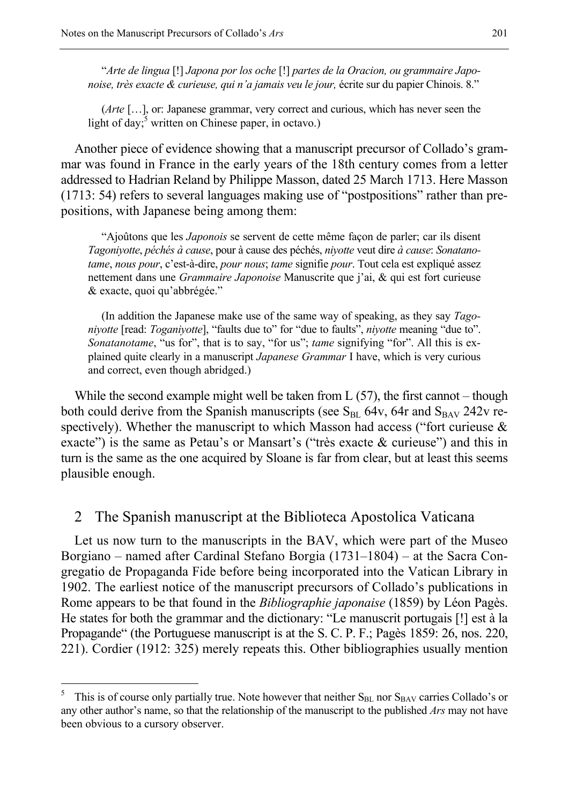"*Arte de lingua* [!] *Japona por los oche* [!] *partes de la Oracion, ou grammaire Japonoise, très exacte & curieuse, qui n'a jamais veu le jour,* écrite sur du papier Chinois. 8."

(*Arte* […], or: Japanese grammar, very correct and curious, which has never seen the light of day;  $\frac{3}{5}$  written on Chinese paper, in octavo.)

Another piece of evidence showing that a manuscript precursor of Collado's grammar was found in France in the early years of the 18th century comes from a letter addressed to Hadrian Reland by Philippe Masson, dated 25 March 1713. Here Masson (1713: 54) refers to several languages making use of "postpositions" rather than prepositions, with Japanese being among them:

"Ajoûtons que les *Japonois* se servent de cette même façon de parler; car ils disent *Tagoniyotte*, *péchés à cause*, pour à cause des péchés, *niyotte* veut dire *à cause*: *Sonatanotame*, *nous pour*, c'est-à-dire, *pour nous*; *tame* signifie *pour*. Tout cela est expliqué assez nettement dans une *Grammaire Japonoise* Manuscrite que j'ai, & qui est fort curieuse & exacte, quoi qu'abbrégée."

(In addition the Japanese make use of the same way of speaking, as they say *Tagoniyotte* [read: *Toganiyotte*], "faults due to" for "due to faults", *niyotte* meaning "due to". *Sonatanotame*, "us for", that is to say, "for us"; *tame* signifying "for". All this is explained quite clearly in a manuscript *Japanese Grammar* I have, which is very curious and correct, even though abridged.)

While the second example might well be taken from  $L(57)$ , the first cannot – though both could derive from the Spanish manuscripts (see  $S_{BL}$  64v, 64r and  $S_{BAV}$  242v respectively). Whether the manuscript to which Masson had access ("fort curieuse & exacte") is the same as Petau's or Mansart's ("très exacte & curieuse") and this in turn is the same as the one acquired by Sloane is far from clear, but at least this seems plausible enough.

#### 2 The Spanish manuscript at the Biblioteca Apostolica Vaticana

Let us now turn to the manuscripts in the BAV, which were part of the Museo Borgiano – named after Cardinal Stefano Borgia (1731–1804) – at the Sacra Congregatio de Propaganda Fide before being incorporated into the Vatican Library in 1902. The earliest notice of the manuscript precursors of Collado's publications in Rome appears to be that found in the *Bibliographie japonaise* (1859) by Léon Pagès. He states for both the grammar and the dictionary: "Le manuscrit portugais [!] est à la Propagande" (the Portuguese manuscript is at the S. C. P. F.; Pagès 1859: 26, nos. 220, 221). Cordier (1912: 325) merely repeats this. Other bibliographies usually mention

<sup>5</sup> This is of course only partially true. Note however that neither SBL nor SBAV carries Collado's or any other author's name, so that the relationship of the manuscript to the published *Ars* may not have been obvious to a cursory observer.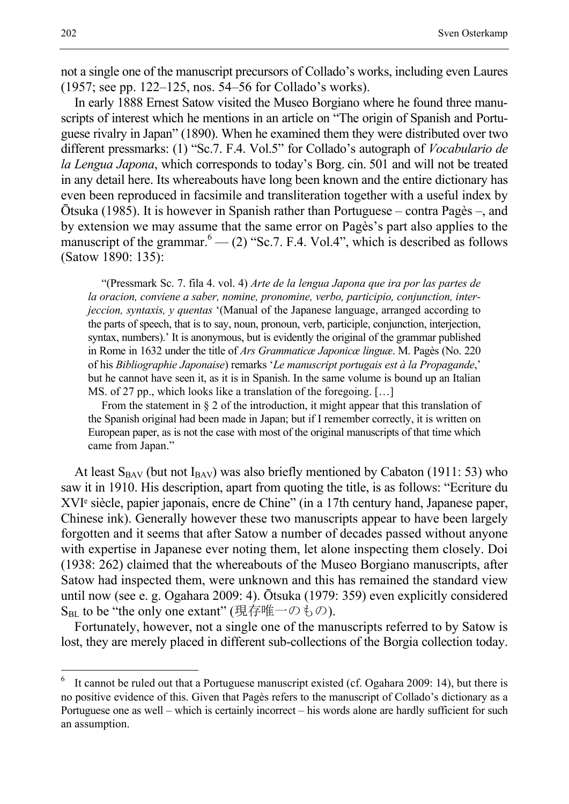not a single one of the manuscript precursors of Collado's works, including even Laures (1957; see pp. 122–125, nos. 54–56 for Collado's works).

In early 1888 Ernest Satow visited the Museo Borgiano where he found three manuscripts of interest which he mentions in an article on "The origin of Spanish and Portuguese rivalry in Japan" (1890). When he examined them they were distributed over two different pressmarks: (1) "Sc.7. F.4. Vol.5" for Collado's autograph of *Vocabulario de la Lengua Japona*, which corresponds to today's Borg. cin. 501 and will not be treated in any detail here. Its whereabouts have long been known and the entire dictionary has even been reproduced in facsimile and transliteration together with a useful index by Ōtsuka (1985). It is however in Spanish rather than Portuguese – contra Pagès –, and by extension we may assume that the same error on Pagès's part also applies to the manuscript of the grammar. $^{6}$  — (2) "Sc.7. F.4. Vol.4", which is described as follows (Satow 1890: 135):

"(Pressmark Sc. 7. fila 4. vol. 4) *Arte de la lengua Japona que ira por las partes de la oracion, conviene a saber, nomine, pronomine, verbo, participio, conjunction, interjeccion, syntaxis, y quentas* '(Manual of the Japanese language, arranged according to the parts of speech, that is to say, noun, pronoun, verb, participle, conjunction, interjection, syntax, numbers).' It is anonymous, but is evidently the original of the grammar published in Rome in 1632 under the title of *Ars Grammaticæ Japonicæ linguæ*. M. Pagès (No. 220 of his *Bibliographie Japonaise*) remarks '*Le manuscript portugais est à la Propagande*,' but he cannot have seen it, as it is in Spanish. In the same volume is bound up an Italian MS. of 27 pp., which looks like a translation of the foregoing. […]

From the statement in § 2 of the introduction, it might appear that this translation of the Spanish original had been made in Japan; but if I remember correctly, it is written on European paper, as is not the case with most of the original manuscripts of that time which came from Japan."

At least  $S_{BAV}$  (but not  $I_{BAV}$ ) was also briefly mentioned by Cabaton (1911: 53) who saw it in 1910. His description, apart from quoting the title, is as follows: "Ecriture du XVIᵉ siècle, papier japonais, encre de Chine" (in a 17th century hand, Japanese paper, Chinese ink). Generally however these two manuscripts appear to have been largely forgotten and it seems that after Satow a number of decades passed without anyone with expertise in Japanese ever noting them, let alone inspecting them closely. Doi (1938: 262) claimed that the whereabouts of the Museo Borgiano manuscripts, after Satow had inspected them, were unknown and this has remained the standard view until now (see e. g. Ogahara 2009: 4). Ōtsuka (1979: 359) even explicitly considered  $S_{BL}$  to be "the only one extant" (現存唯一のもの).

Fortunately, however, not a single one of the manuscripts referred to by Satow is lost, they are merely placed in different sub-collections of the Borgia collection today.

<sup>6</sup> It cannot be ruled out that a Portuguese manuscript existed (cf. Ogahara 2009: 14), but there is no positive evidence of this. Given that Pagès refers to the manuscript of Collado's dictionary as a Portuguese one as well – which is certainly incorrect – his words alone are hardly sufficient for such an assumption.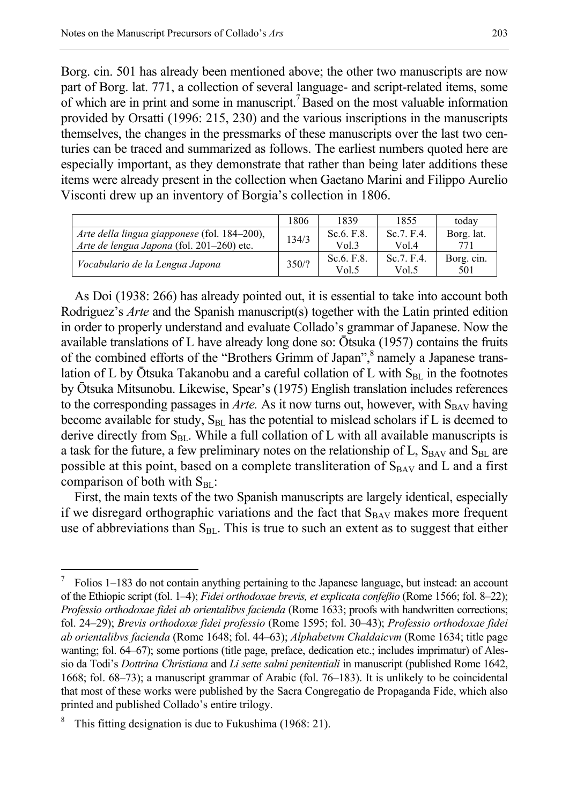Borg. cin. 501 has already been mentioned above; the other two manuscripts are now part of Borg. lat. 771, a collection of several language- and script-related items, some of which are in print and some in manuscript.7 Based on the most valuable information provided by Orsatti (1996: 215, 230) and the various inscriptions in the manuscripts themselves, the changes in the pressmarks of these manuscripts over the last two centuries can be traced and summarized as follows. The earliest numbers quoted here are especially important, as they demonstrate that rather than being later additions these items were already present in the collection when Gaetano Marini and Filippo Aurelio Visconti drew up an inventory of Borgia's collection in 1806.

|                                              | 1806  | 1839           | 1855       | today      |
|----------------------------------------------|-------|----------------|------------|------------|
| Arte della lingua giapponese (fol. 184–200), | 134/3 | Sc. $6. F. 8.$ | Sc.7. F.4. | Borg. lat. |
| Arte de lengua Japona (fol. 201-260) etc.    |       | Vol.3          | Vol 4      | 771        |
|                                              | 350/? | Sc. $6. F. 8.$ | Sc.7. F.4. | Borg. cin. |
| Vocabulario de la Lengua Japona              |       | Vol.5          | Vol.5      | 501        |

As Doi (1938: 266) has already pointed out, it is essential to take into account both Rodriguez's *Arte* and the Spanish manuscript(s) together with the Latin printed edition in order to properly understand and evaluate Collado's grammar of Japanese. Now the available translations of L have already long done so: Ōtsuka (1957) contains the fruits of the combined efforts of the "Brothers Grimm of Japan",<sup>8</sup> namely a Japanese translation of L by  $\bar{O}$ tsuka Takanobu and a careful collation of L with  $S_{BL}$  in the footnotes by Ōtsuka Mitsunobu. Likewise, Spear's (1975) English translation includes references to the corresponding passages in  $Arte$ . As it now turns out, however, with  $S_{BAV}$  having become available for study,  $S<sub>BL</sub>$  has the potential to mislead scholars if L is deemed to derive directly from  $S_{BL}$ . While a full collation of L with all available manuscripts is a task for the future, a few preliminary notes on the relationship of L,  $S_{BAV}$  and  $S_{BL}$  are possible at this point, based on a complete transliteration of  $S_{BAV}$  and L and a first comparison of both with  $S_{BL}$ :

First, the main texts of the two Spanish manuscripts are largely identical, especially if we disregard orthographic variations and the fact that  $S_{BAV}$  makes more frequent use of abbreviations than  $S<sub>BL</sub>$ . This is true to such an extent as to suggest that either

<sup>7</sup> Folios 1–183 do not contain anything pertaining to the Japanese language, but instead: an account of the Ethiopic script (fol. 1‒4); *Fidei orthodoxae brevis, et explicata confeßio* (Rome 1566; fol. 8‒22); *Professio orthodoxae fidei ab orientalibvs facienda* (Rome 1633; proofs with handwritten corrections; fol. 24‒29); *Brevis orthodoxæ fidei professio* (Rome 1595; fol. 30‒43); *Professio orthodoxae fidei ab orientalibvs facienda* (Rome 1648; fol. 44‒63); *Alphabetvm Chaldaicvm* (Rome 1634; title page wanting; fol. 64–67); some portions (title page, preface, dedication etc.; includes imprimatur) of Alessio da Todi's *Dottrina Christiana* and *Li sette salmi penitentiali* in manuscript (published Rome 1642, 1668; fol. 68–73); a manuscript grammar of Arabic (fol. 76–183). It is unlikely to be coincidental that most of these works were published by the Sacra Congregatio de Propaganda Fide, which also printed and published Collado's entire trilogy.

<sup>8</sup> This fitting designation is due to Fukushima (1968: 21).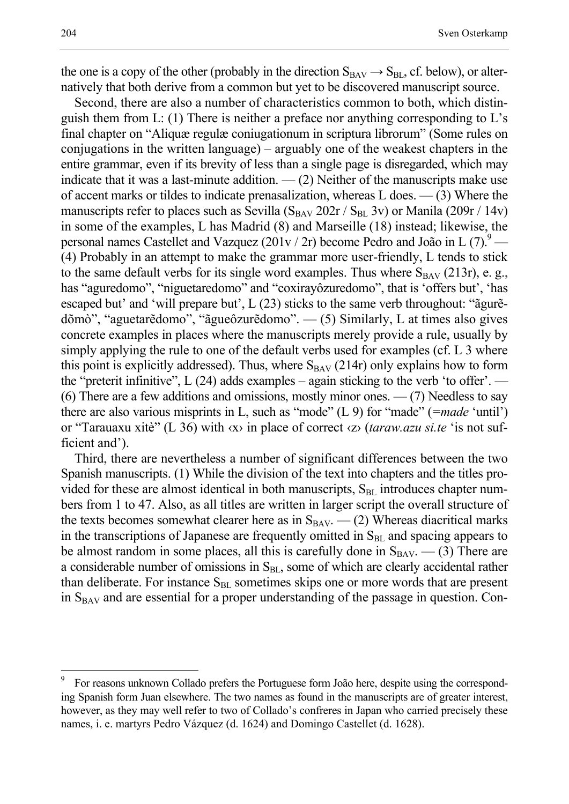the one is a copy of the other (probably in the direction  $S_{BAV} \rightarrow S_{BL}$ , cf. below), or alternatively that both derive from a common but yet to be discovered manuscript source.

Second, there are also a number of characteristics common to both, which distinguish them from L: (1) There is neither a preface nor anything corresponding to L's final chapter on "Aliquæ regulæ coniugationum in scriptura librorum" (Some rules on conjugations in the written language) – arguably one of the weakest chapters in the entire grammar, even if its brevity of less than a single page is disregarded, which may indicate that it was a last-minute addition.  $-$  (2) Neither of the manuscripts make use of accent marks or tildes to indicate prenasalization, whereas L does. — (3) Where the manuscripts refer to places such as Sevilla  $(S_{BAV} 202r / S_{BL} 3v)$  or Manila (209r / 14v) in some of the examples, L has Madrid (8) and Marseille (18) instead; likewise, the personal names Castellet and Vazquez  $(201v / 2r)$  become Pedro and João in L  $(7).9$ — (4) Probably in an attempt to make the grammar more user-friendly, L tends to stick to the same default verbs for its single word examples. Thus where  $S_{BAV}$  (213r), e. g., has "aguredomo", "niguetaredomo" and "coxirayôzuredomo", that is 'offers but', 'has escaped but' and 'will prepare but', L (23) sticks to the same verb throughout: "ãgurẽdõmò", "aguetarẽdomo", "ãgueôzurẽdomo". — (5) Similarly, L at times also gives concrete examples in places where the manuscripts merely provide a rule, usually by simply applying the rule to one of the default verbs used for examples (cf. L 3 where this point is explicitly addressed). Thus, where  $S_{BAV}$  (214r) only explains how to form the "preterit infinitive",  $L(24)$  adds examples – again sticking to the verb 'to offer'. — (6) There are a few additions and omissions, mostly minor ones.  $-$  (7) Needless to say there are also various misprints in L, such as "mode" (L 9) for "made" (*=made* 'until') or "Tarauaxu xitè" (L 36) with ‹x› in place of correct ‹z› (*taraw.azu si.te* 'is not sufficient and').

Third, there are nevertheless a number of significant differences between the two Spanish manuscripts. (1) While the division of the text into chapters and the titles provided for these are almost identical in both manuscripts,  $S<sub>BL</sub>$  introduces chapter numbers from 1 to 47. Also, as all titles are written in larger script the overall structure of the texts becomes somewhat clearer here as in  $S_{BAV}$ .  $-$  (2) Whereas diacritical marks in the transcriptions of Japanese are frequently omitted in  $S<sub>BL</sub>$  and spacing appears to be almost random in some places, all this is carefully done in  $S_{BAV}$ .  $-$  (3) There are a considerable number of omissions in  $S<sub>BL</sub>$ , some of which are clearly accidental rather than deliberate. For instance  $S<sub>BL</sub>$  sometimes skips one or more words that are present in  $S_{BAV}$  and are essential for a proper understanding of the passage in question. Con-

<sup>9</sup> For reasons unknown Collado prefers the Portuguese form João here, despite using the corresponding Spanish form Juan elsewhere. The two names as found in the manuscripts are of greater interest, however, as they may well refer to two of Collado's confreres in Japan who carried precisely these names, i. e. martyrs Pedro Vázquez (d. 1624) and Domingo Castellet (d. 1628).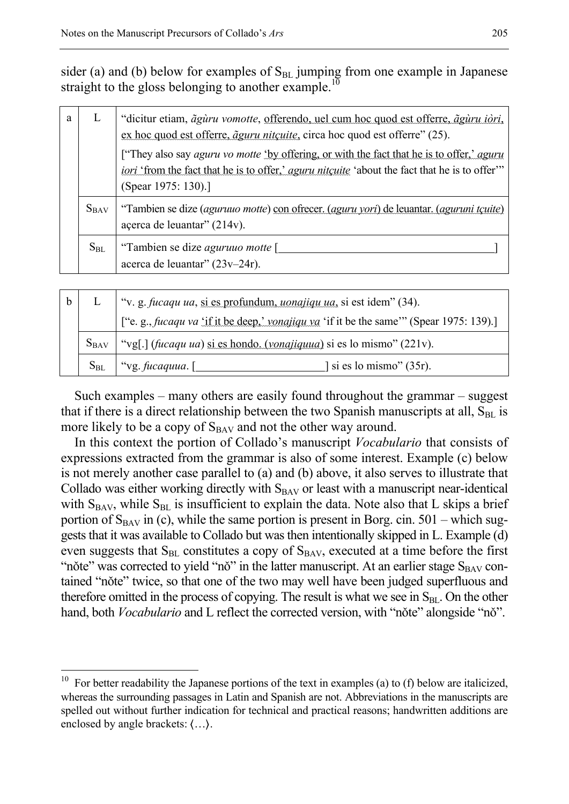sider (a) and (b) below for examples of  $S<sub>BL</sub>$  jumping from one example in Japanese straight to the gloss belonging to another example.<sup>10</sup>

| a | L         | "dicitur etiam, <i>ãguru vomotte</i> , <u>offerendo, uel cum hoc quod est offerre, <i>ãguru iòri</i>,</u><br>ex hoc quod est offerre, <i>aguru nitcuite</i> , circa hoc quod est offerre" (25).                                               |
|---|-----------|-----------------------------------------------------------------------------------------------------------------------------------------------------------------------------------------------------------------------------------------------|
|   |           | ["They also say <i>aguru vo motte</i> 'by offering, or with the fact that he is to offer,' <i>aguru</i><br><i>iori</i> 'from the fact that he is to offer' <i>aguru nitcuite</i> 'about the fact that he is to offer'"<br>(Spear 1975: 130).] |
|   | $S_{BAV}$ | "Tambien se dize (aguruuo motte) con ofrecer. (aguru vori) de leuantar. (aguruni tcuite)<br>açerca de leuantar" (214v).                                                                                                                       |
|   | $S_{BL}$  | "Tambien se dize <i>aguruuo motte</i> [<br>acerca de leuantar" (23v-24r).                                                                                                                                                                     |
|   |           |                                                                                                                                                                                                                                               |

| h         |  | "v. g. fucaqu ua, si es profundum, uonajiqu ua, si est idem" (34).                       |  |  |
|-----------|--|------------------------------------------------------------------------------------------|--|--|
| $S_{BAV}$ |  | ["e. g., fucaqu va 'if it be deep,' vonajiqu va 'if it be the same'" (Spear 1975: 139).] |  |  |
|           |  | "vg[.] (fucaqu ua) si es hondo. (vonajiquua) si es lo mismo" (221v).                     |  |  |
|           |  | $S_{BL}$   "vg. fucaquua. $\Box$<br>$\vert$ si es lo mismo" (35r).                       |  |  |

Such examples – many others are easily found throughout the grammar – suggest that if there is a direct relationship between the two Spanish manuscripts at all,  $S_{BL}$  is more likely to be a copy of  $S_{BAV}$  and not the other way around.

In this context the portion of Collado's manuscript *Vocabulario* that consists of expressions extracted from the grammar is also of some interest. Example (c) below is not merely another case parallel to (a) and (b) above, it also serves to illustrate that Collado was either working directly with  $S<sub>BAV</sub>$  or least with a manuscript near-identical with  $S_{BAV}$ , while  $S_{BL}$  is insufficient to explain the data. Note also that L skips a brief portion of  $S_{BAV}$  in (c), while the same portion is present in Borg. cin. 501 – which suggests that it was available to Collado but was then intentionally skipped in L. Example (d) even suggests that  $S<sub>BL</sub>$  constitutes a copy of  $S<sub>BAV</sub>$ , executed at a time before the first "nǒte" was corrected to yield "nǒ" in the latter manuscript. At an earlier stage  $S_{BAV}$  contained "nǒte" twice, so that one of the two may well have been judged superfluous and therefore omitted in the process of copying. The result is what we see in  $S<sub>BL</sub>$ . On the other hand, both *Vocabulario* and L reflect the corrected version, with "nǒte" alongside "nǒ".

<sup>10</sup> For better readability the Japanese portions of the text in examples (a) to (f) below are italicized, whereas the surrounding passages in Latin and Spanish are not. Abbreviations in the manuscripts are spelled out without further indication for technical and practical reasons; handwritten additions are enclosed by angle brackets:  $\langle \ldots \rangle$ .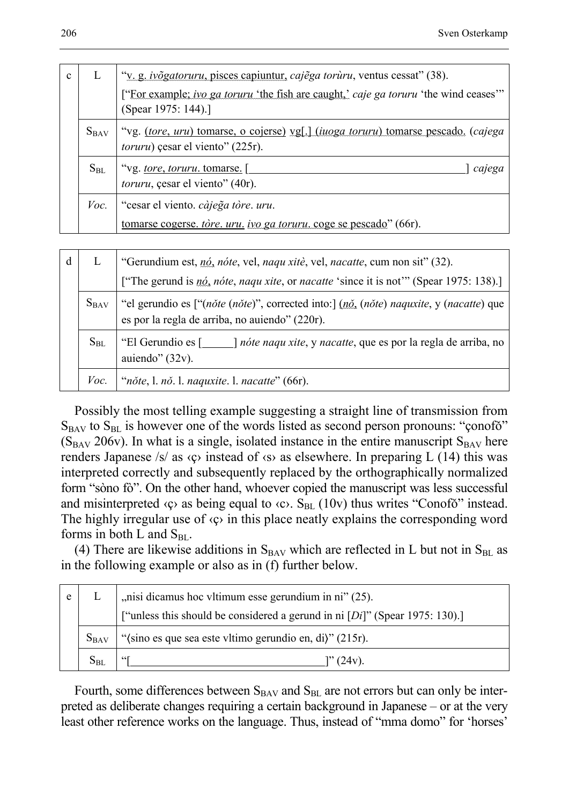| $\mathbf{c}$ |           | "v. g. ivõgatoruru, pisces capiuntur, cajega toruru, ventus cessat" (38).                                                      |  |
|--------------|-----------|--------------------------------------------------------------------------------------------------------------------------------|--|
|              |           | ["For example; ivo ga toruru 'the fish are caught,' caje ga toruru 'the wind ceases'"<br>(Spear 1975: 144).]                   |  |
|              | $S_{BAV}$ | "vg. (tore, uru) tomarse, o cojerse) vg[.] (iuoga toruru) tomarse pescado. (cajega<br><i>toruru</i> ) çesar el viento" (225r). |  |
|              | $S_{BL}$  | "vg. tore, toruru. tomarse. [<br>cajega<br><i>toruru</i> , çesar el viento" (40r).                                             |  |
|              | Voc.      | "cesar el viento. càjega tòre. uru.                                                                                            |  |
|              |           | tomarse cogerse, <i>tore, uru, ivo ga toruru</i> , coge se pescado" (66r).                                                     |  |
|              |           |                                                                                                                                |  |
| d            | L         | "Gerundium est, nó, nóte, vel, naqu xitè, vel, nacatte, cum non sit" (32).                                                     |  |
|              |           | ["The gerund is <i>nó</i> , <i>note</i> , <i>naqu xite</i> , or <i>nacatte</i> 'since it is not'" (Spear 1975: 138).]          |  |

| $S_{BAV}$   "el gerundio es ["(note (note)", corrected into:] (no (note) naquative, y (nacatte) que<br>$\vert$ es por la regla de arriba, no aujendo" (220r). |
|---------------------------------------------------------------------------------------------------------------------------------------------------------------|
|                                                                                                                                                               |
|                                                                                                                                                               |

| "El Gerundio es [  | <i>nóte naqu xite</i> , y <i>nacatte</i> , que es por la regla de arriba, no |
|--------------------|------------------------------------------------------------------------------|
| auiendo" $(32v)$ . |                                                                              |

*Voc.* "*nǒte*, l. *nǒ*. l. *naquxite*. l. *nacatte*" (66r).

Possibly the most telling example suggesting a straight line of transmission from  $S_{BAV}$  to  $S_{BL}$  is however one of the words listed as second person pronouns: "conofo"  $(S_{BAV} 206v)$ . In what is a single, isolated instance in the entire manuscript  $S_{BAV}$  here renders Japanese /s/ as  $\langle \varphi \rangle$  instead of  $\langle \varphi \rangle$  as elsewhere. In preparing L (14) this was interpreted correctly and subsequently replaced by the orthographically normalized form "sòno fò". On the other hand, whoever copied the manuscript was less successful and misinterpreted  $\langle \varphi \rangle$  as being equal to  $\langle \varphi \rangle$ . S<sub>BL</sub> (10v) thus writes "Conofo" instead. The highly irregular use of  $\langle \varphi \rangle$  in this place neatly explains the corresponding word forms in both L and  $S_{BL}$ .

(4) There are likewise additions in  $S_{BAV}$  which are reflected in L but not in  $S_{BL}$  as in the following example or also as in (f) further below.

| e |                                                                      | $\vert$ , nisi dicamus hoc vltimum esse gerundium in ni" (25).                 |  |
|---|----------------------------------------------------------------------|--------------------------------------------------------------------------------|--|
|   |                                                                      | ["unless this should be considered a gerund in ni $[Di]$ " (Spear 1975: 130).] |  |
|   | "(sino es que sea este vltimo gerundio en, di)" (215r).<br>$S_{BAV}$ |                                                                                |  |
|   | $S_{BL}$                                                             | " (24v).                                                                       |  |

Fourth, some differences between  $S_{BAV}$  and  $S_{BL}$  are not errors but can only be interpreted as deliberate changes requiring a certain background in Japanese – or at the very least other reference works on the language. Thus, instead of "mma domo" for 'horses'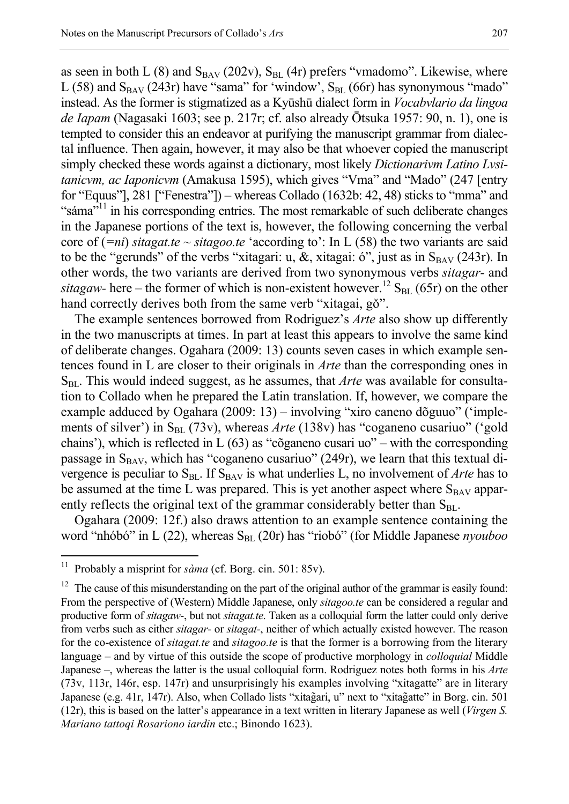as seen in both L  $(8)$  and  $S_{BAV}$  (202v),  $S_{BL}$  (4r) prefers "vmadomo". Likewise, where L (58) and  $S_{BAV}$  (243r) have "sama" for 'window',  $S_{BL}$  (66r) has synonymous "mado" instead. As the former is stigmatized as a Kyūshū dialect form in *Vocabvlario da lingoa de Iapam* (Nagasaki 1603; see p. 217r; cf. also already Ōtsuka 1957: 90, n. 1), one is tempted to consider this an endeavor at purifying the manuscript grammar from dialectal influence. Then again, however, it may also be that whoever copied the manuscript simply checked these words against a dictionary, most likely *Dictionarivm Latino Lvsitanicvm, ac Iaponicvm* (Amakusa 1595), which gives "Vma" and "Mado" (247 [entry for "Equus"], 281 ["Fenestra"]) – whereas Collado (1632b: 42, 48) sticks to "mma" and "sáma"<sup>11</sup> in his corresponding entries. The most remarkable of such deliberate changes in the Japanese portions of the text is, however, the following concerning the verbal core of (*=ni*) *sitagat.te* ~ *sitagoo.te* 'according to': In L (58) the two variants are said to be the "gerunds" of the verbs "xitagari: u, &, xitagai: ó", just as in  $S_{BAV}$  (243r). In other words, the two variants are derived from two synonymous verbs *sitagar-* and *sitagaw*- here – the former of which is non-existent however.<sup>12</sup> S<sub>BL</sub> (65r) on the other

hand correctly derives both from the same verb "xitagai, gǒ". The example sentences borrowed from Rodriguez's *Arte* also show up differently in the two manuscripts at times. In part at least this appears to involve the same kind of deliberate changes. Ogahara (2009: 13) counts seven cases in which example sentences found in L are closer to their originals in *Arte* than the corresponding ones in S<sub>BL</sub>. This would indeed suggest, as he assumes, that *Arte* was available for consultation to Collado when he prepared the Latin translation. If, however, we compare the example adduced by Ogahara (2009: 13) – involving "xiro caneno dõguuo" ('implements of silver') in S<sub>BL</sub> (73v), whereas *Arte* (138v) has "coganeno cusariuo" ('gold chains'), which is reflected in L (63) as "cõganeno cusari uo" – with the corresponding passage in  $S_{BAV}$ , which has "coganeno cusariuo" (249r), we learn that this textual divergence is peculiar to  $S<sub>BL</sub>$ . If  $S<sub>BAV</sub>$  is what underlies L, no involvement of *Arte* has to be assumed at the time L was prepared. This is yet another aspect where  $S_{BAV}$  apparently reflects the original text of the grammar considerably better than  $S_{BL}$ .

Ogahara (2009: 12f.) also draws attention to an example sentence containing the word "nhóbó" in L (22), whereas S<sub>BL</sub> (20r) has "riobó" (for Middle Japanese *nyouboo* 

<sup>&</sup>lt;sup>11</sup> Probably a misprint for *sàma* (cf. Borg. cin. 501: 85v).

<sup>&</sup>lt;sup>12</sup> The cause of this misunderstanding on the part of the original author of the grammar is easily found: From the perspective of (Western) Middle Japanese, only *sitagoo.te* can be considered a regular and productive form of *sitagaw-*, but not *sitagat.te*. Taken as a colloquial form the latter could only derive from verbs such as either *sitagar-* or *sitagat-*, neither of which actually existed however. The reason for the co-existence of *sitagat.te* and *sitagoo.te* is that the former is a borrowing from the literary language – and by virtue of this outside the scope of productive morphology in *colloquial* Middle Japanese –, whereas the latter is the usual colloquial form. Rodriguez notes both forms in his *Arte* (73v, 113r, 146r, esp. 147r) and unsurprisingly his examples involving "xitagatte" are in literary Japanese (e.g. 41r, 147r). Also, when Collado lists "xitag̃ ari, u" next to "xitag̃ atte" in Borg. cin. 501 (12r), this is based on the latter's appearance in a text written in literary Japanese as well (*Virgen S. Mariano tattoqi Rosariono iardin* etc.; Binondo 1623).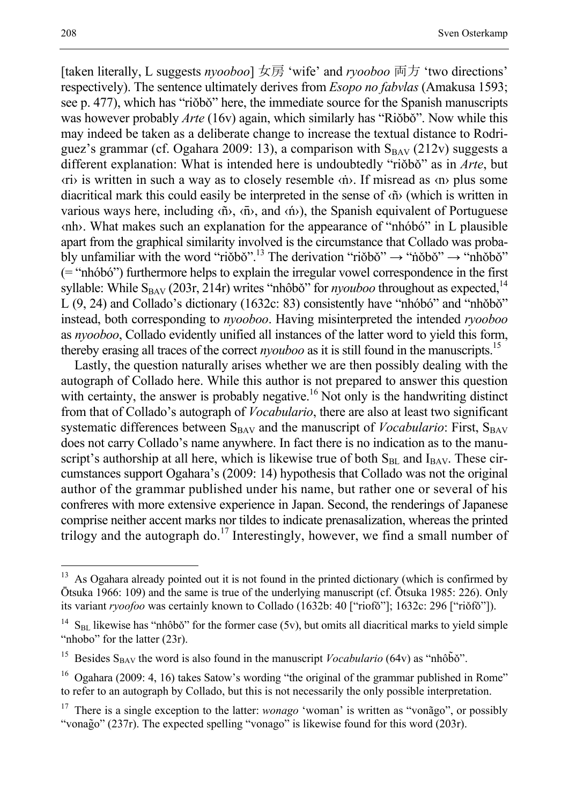[taken literally, L suggests *nyooboo*] 女房 'wife' and *ryooboo* 両方 'two directions' respectively). The sentence ultimately derives from *Esopo no fabvlas* (Amakusa 1593; see p. 477), which has "riǒbǒ" here, the immediate source for the Spanish manuscripts was however probably *Arte* (16v) again, which similarly has "Riǒbǒ". Now while this may indeed be taken as a deliberate change to increase the textual distance to Rodriguez's grammar (cf. Ogahara 2009: 13), a comparison with  $S_{BAV}$  (212v) suggests a different explanation: What is intended here is undoubtedly "riǒbǒ" as in *Arte*, but ‹ri› is written in such a way as to closely resemble ‹ṅ›. If misread as ‹n› plus some diacritical mark this could easily be interpreted in the sense of ‹ñ› (which is written in various ways here, including  $\langle \tilde{n} \rangle$ ,  $\langle \tilde{n} \rangle$ , and  $\langle \tilde{n} \rangle$ ), the Spanish equivalent of Portuguese ‹nh›. What makes such an explanation for the appearance of "nhóbó" in L plausible apart from the graphical similarity involved is the circumstance that Collado was probably unfamiliar with the word "riŏbŏ".<sup>13</sup> The derivation "riŏbŏ"  $\rightarrow$  "nõbŏ"  $\rightarrow$  "nhŏbŏ" (= "nhóbó") furthermore helps to explain the irregular vowel correspondence in the first syllable: While  $S_{BAV}$  (203r, 214r) writes "nhôbǒ" for *nyouboo* throughout as expected,  $14$  $L (9, 24)$  and Collado's dictionary (1632c: 83) consistently have "nhóbó" and "nhõbó" instead, both corresponding to *nyooboo*. Having misinterpreted the intended *ryooboo* as *nyooboo*, Collado evidently unified all instances of the latter word to yield this form, thereby erasing all traces of the correct *nyouboo* as it is still found in the manuscripts.<sup>15</sup>

Lastly, the question naturally arises whether we are then possibly dealing with the autograph of Collado here. While this author is not prepared to answer this question with certainty, the answer is probably negative.<sup>16</sup> Not only is the handwriting distinct from that of Collado's autograph of *Vocabulario*, there are also at least two significant systematic differences between  $S_{BAV}$  and the manuscript of *Vocabulario*: First,  $S_{BAV}$ does not carry Collado's name anywhere. In fact there is no indication as to the manuscript's authorship at all here, which is likewise true of both  $S<sub>BL</sub>$  and  $I<sub>BAV</sub>$ . These circumstances support Ogahara's (2009: 14) hypothesis that Collado was not the original author of the grammar published under his name, but rather one or several of his confreres with more extensive experience in Japan. Second, the renderings of Japanese comprise neither accent marks nor tildes to indicate prenasalization, whereas the printed trilogy and the autograph do.<sup>17</sup> Interestingly, however, we find a small number of

 $13$  As Ogahara already pointed out it is not found in the printed dictionary (which is confirmed by Ōtsuka 1966: 109) and the same is true of the underlying manuscript (cf. Ōtsuka 1985: 226). Only its variant *ryoofoo* was certainly known to Collado (1632b: 40 ["riofǒ"]; 1632c: 296 ["riǒfǒ"]).

 $S<sub>BL</sub>$  likewise has "nhôbǒ" for the former case (5v), but omits all diacritical marks to yield simple "nhobo" for the latter (23r).

<sup>&</sup>lt;sup>15</sup> Besides S<sub>BAV</sub> the word is also found in the manuscript *Vocabulario* (64v) as "nhôb $\tilde{b}$ o".

<sup>&</sup>lt;sup>16</sup> Ogahara (2009: 4, 16) takes Satow's wording "the original of the grammar published in Rome" to refer to an autograph by Collado, but this is not necessarily the only possible interpretation.

<sup>&</sup>lt;sup>17</sup> There is a single exception to the latter: *wonago* 'woman' is written as "vonago", or possibly "vonag̃ o" (237r). The expected spelling "vonago" is likewise found for this word (203r).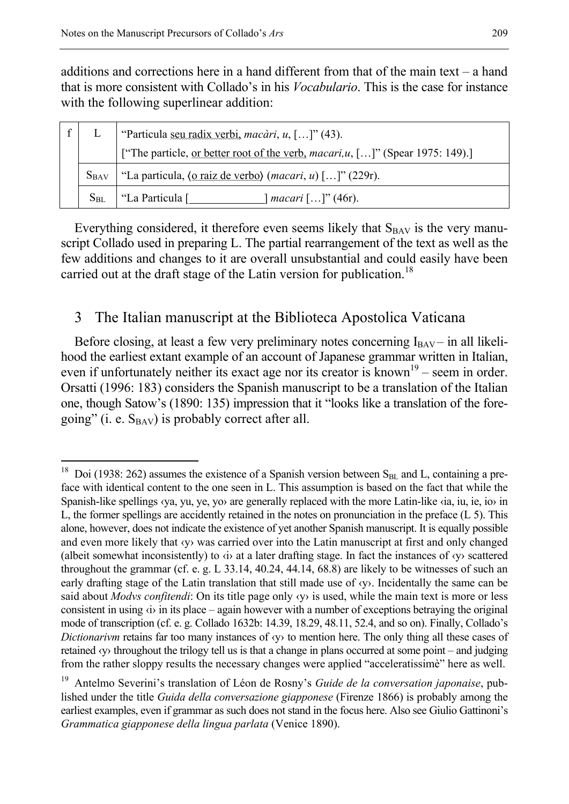-

additions and corrections here in a hand different from that of the main text – a hand that is more consistent with Collado's in his *Vocabulario*. This is the case for instance with the following superlinear addition:

|           | "Particula <u>seu radix verbi</u> , <i>macàri</i> , $u$ , []" (43).                               |  |
|-----------|---------------------------------------------------------------------------------------------------|--|
|           | ["The particle, <u>or better root of the verb</u> , <i>macari,u</i> , []" (Spear 1975: 149).]     |  |
| $S_{BAV}$ | "La particula, $\langle 0 \text{ raiz de verbo} \rangle$ ( <i>macari</i> , <i>u</i> ) []" (229r). |  |
| $S_{BL}$  | "La Particula [<br>  <i>macari</i> $[]$ (46r).                                                    |  |

Everything considered, it therefore even seems likely that  $S_{BAV}$  is the very manuscript Collado used in preparing L. The partial rearrangement of the text as well as the few additions and changes to it are overall unsubstantial and could easily have been carried out at the draft stage of the Latin version for publication.<sup>18</sup>

## 3 The Italian manuscript at the Biblioteca Apostolica Vaticana

Before closing, at least a few very preliminary notes concerning  $I_{BAV}$  – in all likelihood the earliest extant example of an account of Japanese grammar written in Italian, even if unfortunately neither its exact age nor its creator is known<sup>19</sup> – seem in order. Orsatti (1996: 183) considers the Spanish manuscript to be a translation of the Italian one, though Satow's (1890: 135) impression that it "looks like a translation of the foregoing" (i. e.  $S_{BAV}$ ) is probably correct after all.

<sup>&</sup>lt;sup>18</sup> Doi (1938: 262) assumes the existence of a Spanish version between  $S<sub>BL</sub>$  and L, containing a preface with identical content to the one seen in L. This assumption is based on the fact that while the Spanish-like spellings ‹ya, yu, ye, yo› are generally replaced with the more Latin-like ‹ia, iu, ie, io› in L, the former spellings are accidently retained in the notes on pronunciation in the preface (L 5). This alone, however, does not indicate the existence of yet another Spanish manuscript. It is equally possible and even more likely that ‹y› was carried over into the Latin manuscript at first and only changed (albeit somewhat inconsistently) to ‹i› at a later drafting stage. In fact the instances of ‹y› scattered throughout the grammar (cf. e. g. L 33.14, 40.24, 44.14, 68.8) are likely to be witnesses of such an early drafting stage of the Latin translation that still made use of ‹y›. Incidentally the same can be said about *Modvs confitendi*: On its title page only ‹y› is used, while the main text is more or less consistent in using ‹i› in its place – again however with a number of exceptions betraying the original mode of transcription (cf. e. g. Collado 1632b: 14.39, 18.29, 48.11, 52.4, and so on). Finally, Collado's *Dictionarivm* retains far too many instances of  $\langle y \rangle$  to mention here. The only thing all these cases of retained *(y)* throughout the trilogy tell us is that a change in plans occurred at some point – and judging from the rather sloppy results the necessary changes were applied "acceleratissimè" here as well.

<sup>19</sup> Antelmo Severini's translation of Léon de Rosny's *Guide de la conversation japonaise*, published under the title *Guida della conversazione giapponese* (Firenze 1866) is probably among the earliest examples, even if grammar as such does not stand in the focus here. Also see Giulio Gattinoni's *Grammatica giapponese della lingua parlata* (Venice 1890).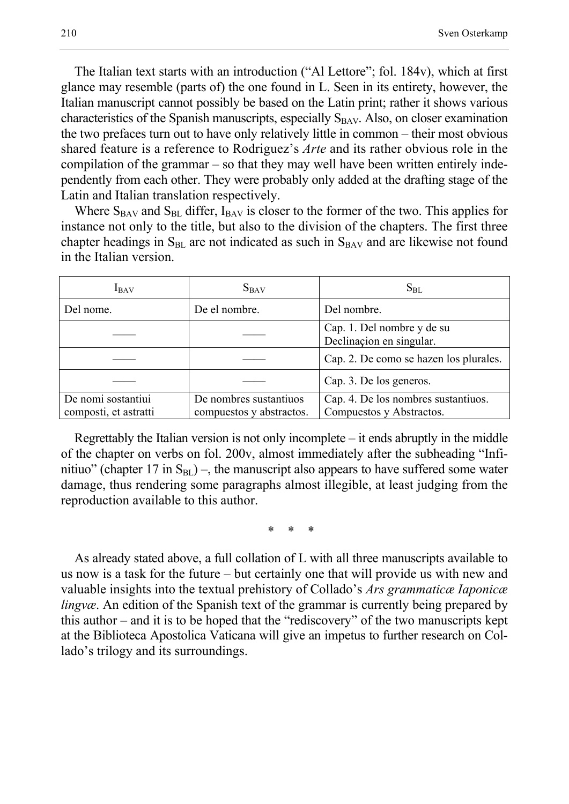The Italian text starts with an introduction ("Al Lettore"; fol. 184v), which at first glance may resemble (parts of) the one found in L. Seen in its entirety, however, the Italian manuscript cannot possibly be based on the Latin print; rather it shows various characteristics of the Spanish manuscripts, especially  $S_{BAV}$ . Also, on closer examination the two prefaces turn out to have only relatively little in common – their most obvious shared feature is a reference to Rodriguez's *Arte* and its rather obvious role in the compilation of the grammar – so that they may well have been written entirely independently from each other. They were probably only added at the drafting stage of the Latin and Italian translation respectively.

Where  $S_{BAV}$  and  $S_{BL}$  differ,  $I_{BAV}$  is closer to the former of the two. This applies for instance not only to the title, but also to the division of the chapters. The first three chapter headings in  $S<sub>BL</sub>$  are not indicated as such in  $S<sub>BAV</sub>$  and are likewise not found in the Italian version.

| $I_{BAV}$                                   | $S_{BAV}$                                          | $S_{BL}$                                                        |
|---------------------------------------------|----------------------------------------------------|-----------------------------------------------------------------|
| Del nome.                                   | De el nombre.                                      | Del nombre.                                                     |
|                                             |                                                    | Cap. 1. Del nombre y de su<br>Declinaçion en singular.          |
|                                             |                                                    | Cap. 2. De como se hazen los plurales.                          |
|                                             |                                                    | Cap. 3. De los generos.                                         |
| De nomi sostantiui<br>composti, et astratti | De nombres sustantiuos<br>compuestos y abstractos. | Cap. 4. De los nombres sustantiuos.<br>Compuestos y Abstractos. |

Regrettably the Italian version is not only incomplete – it ends abruptly in the middle of the chapter on verbs on fol. 200v, almost immediately after the subheading "Infinitiuo" (chapter 17 in  $S<sub>BL</sub>$ ) –, the manuscript also appears to have suffered some water damage, thus rendering some paragraphs almost illegible, at least judging from the reproduction available to this author.

\* \* \*

As already stated above, a full collation of L with all three manuscripts available to us now is a task for the future – but certainly one that will provide us with new and valuable insights into the textual prehistory of Collado's *Ars grammaticæ Iaponicæ lingvæ*. An edition of the Spanish text of the grammar is currently being prepared by this author – and it is to be hoped that the "rediscovery" of the two manuscripts kept at the Biblioteca Apostolica Vaticana will give an impetus to further research on Collado's trilogy and its surroundings.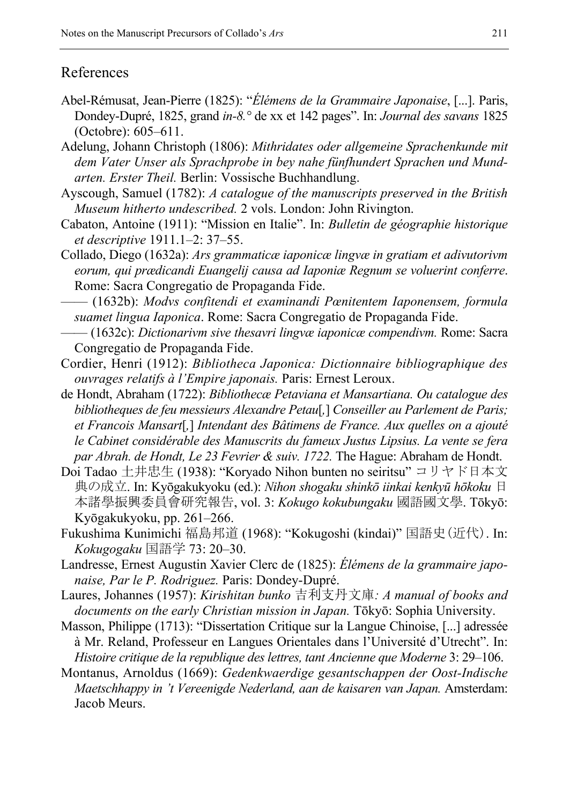## References

- Abel-Rémusat, Jean-Pierre (1825): "*Élémens de la Grammaire Japonaise*, [...]. Paris, Dondey-Dupré, 1825, grand *in-8.°* de xx et 142 pages". In: *Journal des savans* 1825 (Octobre): 605–611.
- Adelung, Johann Christoph (1806): *Mithridates oder allgemeine Sprachenkunde mit dem Vater Unser als Sprachprobe in bey nahe fünfhundert Sprachen und Mundarten. Erster Theil.* Berlin: Vossische Buchhandlung.
- Ayscough, Samuel (1782): *A catalogue of the manuscripts preserved in the British Museum hitherto undescribed.* 2 vols. London: John Rivington.
- Cabaton, Antoine (1911): "Mission en Italie". In: *Bulletin de géographie historique et descriptive* 1911.1‒2: 37‒55.
- Collado, Diego (1632a): *Ars grammaticæ iaponicæ lingvæ in gratiam et adivutorivm eorum, qui prædicandi Euangelij causa ad Iaponiæ Regnum se voluerint conferre*. Rome: Sacra Congregatio de Propaganda Fide.
- —— (1632b): *Modvs confitendi et examinandi Pœnitentem Iaponensem, formula suamet lingua Iaponica*. Rome: Sacra Congregatio de Propaganda Fide.
- —— (1632c): *Dictionarivm sive thesavri lingvæ iaponicæ compendivm.* Rome: Sacra Congregatio de Propaganda Fide.
- Cordier, Henri (1912): *Bibliotheca Japonica: Dictionnaire bibliographique des ouvrages relatifs à l'Empire japonais.* Paris: Ernest Leroux.
- de Hondt, Abraham (1722): *Bibliothecæ Petaviana et Mansartiana. Ou catalogue des bibliotheques de feu messieurs Alexandre Petau*[*,*] *Conseiller au Parlement de Paris; et Francois Mansart*[*,*] *Intendant des Bâtimens de France. Aux quelles on a ajouté le Cabinet considérable des Manuscrits du fameux Justus Lipsius. La vente se fera par Abrah. de Hondt, Le 23 Fevrier & suiv. 1722.* The Hague: Abraham de Hondt.
- Doi Tadao 土井忠生 (1938): "Koryado Nihon bunten no seiritsu" コリヤド日本文 典の成立. In: Kyōgakukyoku (ed.): *Nihon shogaku shinkō iinkai kenkyū hōkoku* 日 本諸學振興委員會研究報告, vol. 3: *Kokugo kokubungaku* 國語國文學. Tōkyō: Kyōgakukyoku, pp. 261–266.
- Fukushima Kunimichi 福島邦道 (1968): "Kokugoshi (kindai)" 国語史(近代). In: *Kokugogaku* 国語学 73: 20‒30.
- Landresse, Ernest Augustin Xavier Clerc de (1825): *Élémens de la grammaire japonaise, Par le P. Rodriguez.* Paris: Dondey-Dupré.
- Laures, Johannes (1957): *Kirishitan bunko* 吉利支丹文庫*: A manual of books and documents on the early Christian mission in Japan.* Tōkyō: Sophia University.
- Masson, Philippe (1713): "Dissertation Critique sur la Langue Chinoise, [...] adressée à Mr. Reland, Professeur en Langues Orientales dans l'Université d'Utrecht". In: *Histoire critique de la republique des lettres, tant Ancienne que Moderne* 3: 29–106.
- Montanus, Arnoldus (1669): *Gedenkwaerdige gesantschappen der Oost-Indische Maetschhappy in 't Vereenigde Nederland, aan de kaisaren van Japan.* Amsterdam: Jacob Meurs.